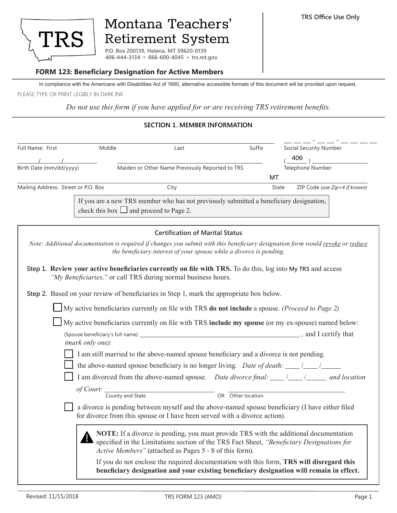

# Montana Teachers' Retirement System

**P.O. Box 200139, Helena, MT 59620-0139 406-444-3134 ▪ 866-600-4045 ▪ trs.mt.gov**

# **FORM 123: Beneficiary Designation for Active Members**

In compliance with the Americans with Disabilities Act of 1990, alternative accessible formats of this document will be provided upon request. PLEASE TYPE OR PRINT LEGIBLY IN DARK INK

*Do not use this form if you have applied for or are receiving TRS retirement benefits.*

# **SECTION 1. MEMBER INFORMATION**

| Full Name: First                    | Middle                     | Last                                                                                                                                                                         | Suffix            | <b>Social Security Number</b>                                                                                                                                                        |
|-------------------------------------|----------------------------|------------------------------------------------------------------------------------------------------------------------------------------------------------------------------|-------------------|--------------------------------------------------------------------------------------------------------------------------------------------------------------------------------------|
|                                     |                            |                                                                                                                                                                              |                   | 406                                                                                                                                                                                  |
| Birth Date (mm/dd/yyyy)             |                            | Maiden or Other Name Previously Reported to TRS                                                                                                                              |                   | Telephone Number                                                                                                                                                                     |
|                                     |                            |                                                                                                                                                                              |                   | MT                                                                                                                                                                                   |
| Mailing Address: Street or P.O. Box |                            | City                                                                                                                                                                         |                   | ZIP Code (use Zip+4 if known)<br>State                                                                                                                                               |
|                                     |                            | If you are a new TRS member who has not previously submitted a beneficiary designation,<br>check this box $\Box$ and proceed to Page 2.                                      |                   |                                                                                                                                                                                      |
|                                     |                            | <b>Certification of Marital Status</b>                                                                                                                                       |                   |                                                                                                                                                                                      |
|                                     |                            | the beneficiary interest of your spouse while a divorce is pending.                                                                                                          |                   | Note: Additional documentation is required if changes you submit with this beneficiary designation form would revoke or reduce                                                       |
|                                     |                            | Step 1. Review your active beneficiaries currently on file with TRS. To do this, log into My TRS and access<br>"My Beneficiaries," or call TRS during normal business hours. |                   |                                                                                                                                                                                      |
|                                     |                            | Step 2. Based on your review of beneficiaries in Step 1, mark the appropriate box below.                                                                                     |                   |                                                                                                                                                                                      |
|                                     |                            | $\Box$ My active beneficiaries currently on file with TRS do not include a spouse. (Proceed to Page 2)                                                                       |                   |                                                                                                                                                                                      |
|                                     |                            |                                                                                                                                                                              |                   | My active beneficiaries currently on file with TRS include my spouse (or my ex-spouse) named below:                                                                                  |
|                                     |                            |                                                                                                                                                                              |                   |                                                                                                                                                                                      |
|                                     | (mark only one):           |                                                                                                                                                                              |                   |                                                                                                                                                                                      |
|                                     |                            | I am still married to the above-named spouse beneficiary and a divorce is not pending.                                                                                       |                   |                                                                                                                                                                                      |
|                                     |                            | the above-named spouse beneficiary is no longer living. Date of death: $\frac{\ }{\ }$                                                                                       |                   |                                                                                                                                                                                      |
|                                     |                            |                                                                                                                                                                              |                   |                                                                                                                                                                                      |
|                                     | of Court: County and State |                                                                                                                                                                              |                   |                                                                                                                                                                                      |
|                                     |                            |                                                                                                                                                                              | OR Other location |                                                                                                                                                                                      |
|                                     |                            | for divorce from this spouse or I have been served with a divorce action).                                                                                                   |                   | a divorce is pending between myself and the above-named spouse beneficiary (I have either filed                                                                                      |
|                                     |                            | Active Members" (attached as Pages 5 - 8 of this form).                                                                                                                      |                   | NOTE: If a divorce is pending, you must provide TRS with the additional documentation<br>specified in the Limitations section of the TRS Fact Sheet, "Beneficiary Designations for   |
|                                     |                            |                                                                                                                                                                              |                   | If you do not enclose the required documentation with this form, TRS will disregard this<br>beneficiary designation and your existing beneficiary designation will remain in effect. |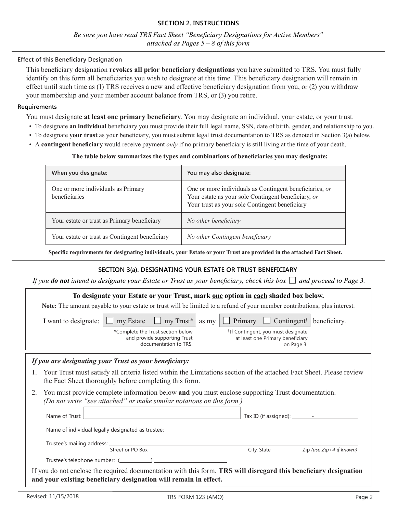*Be sure you have read TRS Fact Sheet "Beneficiary Designations for Active Members" attached as Pages 5 – 8 of this form*

#### **Effect of this Beneficiary Designation**

This beneficiary designation **revokes all prior beneficiary designations** you have submitted to TRS. You must fully identify on this form all beneficiaries you wish to designate at this time. This beneficiary designation will remain in effect until such time as (1) TRS receives a new and effective beneficiary designation from you, or (2) you withdraw your membership and your member account balance from TRS, or (3) you retire.

#### **Requirements**

You must designate **at least one primary beneficiary**. You may designate an individual, your estate, or your trust.

- To designate **an individual** beneficiary you must provide their full legal name, SSN, date of birth, gender, and relationship to you.
- To designate **your trust** as your beneficiary, you must submit legal trust documentation to TRS as denoted in Section 3(a) below.
- A **contingent beneficiary** would receive payment *only* if no primary beneficiary is still living at the time of your death.

#### **The table below summarizes the types and combinations of beneficiaries you may designate:**

| When you designate:                                 | You may also designate:                                                                                                                                          |
|-----------------------------------------------------|------------------------------------------------------------------------------------------------------------------------------------------------------------------|
| One or more individuals as Primary<br>beneficiaries | One or more individuals as Contingent beneficiaries, or<br>Your estate as your sole Contingent beneficiary, or<br>Your trust as your sole Contingent beneficiary |
| Your estate or trust as Primary beneficiary         | No other beneficiary                                                                                                                                             |
| Your estate or trust as Contingent beneficiary      | No other Contingent beneficiary                                                                                                                                  |

**Specific requirements for designating individuals, your Estate or your Trust are provided in the attached Fact Sheet.**

# **SECTION 3(a). DESIGNATING YOUR ESTATE OR TRUST BENEFICIARY**

*If you do not intend to designate your Estate or Trust as your beneficiary, check this box*  $\Box$  *and proceed to Page 3.* 

| To designate your Estate or your Trust, mark one option in each shaded box below.                                                                                                    |                  |                                                                                            |  |                                                     |                                  |            |                            |
|--------------------------------------------------------------------------------------------------------------------------------------------------------------------------------------|------------------|--------------------------------------------------------------------------------------------|--|-----------------------------------------------------|----------------------------------|------------|----------------------------|
| Note: The amount payable to your estate or trust will be limited to a refund of your member contributions, plus interest.                                                            |                  |                                                                                            |  |                                                     |                                  |            |                            |
| I want to designate:                                                                                                                                                                 | $\Box$ my Estate | $\Box$ my Trust*                                                                           |  | as my $\Box$ Primary $\Box$ Contingent <sup>†</sup> |                                  |            | beneficiary.               |
|                                                                                                                                                                                      |                  | *Complete the Trust section below<br>and provide supporting Trust<br>documentation to TRS. |  | <sup>†</sup> If Contingent, you must designate      | at least one Primary beneficiary | on Page 3. |                            |
| If you are designating your Trust as your beneficiary:                                                                                                                               |                  |                                                                                            |  |                                                     |                                  |            |                            |
| Your Trust must satisfy all criteria listed within the Limitations section of the attached Fact Sheet. Please review<br>the Fact Sheet thoroughly before completing this form.       |                  |                                                                                            |  |                                                     |                                  |            |                            |
| You must provide complete information below and you must enclose supporting Trust documentation.<br>2.<br>(Do not write "see attached" or make similar notations on this form.)      |                  |                                                                                            |  |                                                     |                                  |            |                            |
| Name of Trust:                                                                                                                                                                       |                  |                                                                                            |  |                                                     |                                  |            |                            |
| Name of individual legally designated as trustee: ______________________________                                                                                                     |                  |                                                                                            |  |                                                     |                                  |            |                            |
|                                                                                                                                                                                      |                  |                                                                                            |  |                                                     |                                  |            |                            |
|                                                                                                                                                                                      | Street or PO Box |                                                                                            |  | City, State                                         |                                  |            | Zip (use $Zip+4$ if known) |
|                                                                                                                                                                                      |                  |                                                                                            |  |                                                     |                                  |            |                            |
| If you do not enclose the required documentation with this form, TRS will disregard this beneficiary designation<br>and your existing beneficiary designation will remain in effect. |                  |                                                                                            |  |                                                     |                                  |            |                            |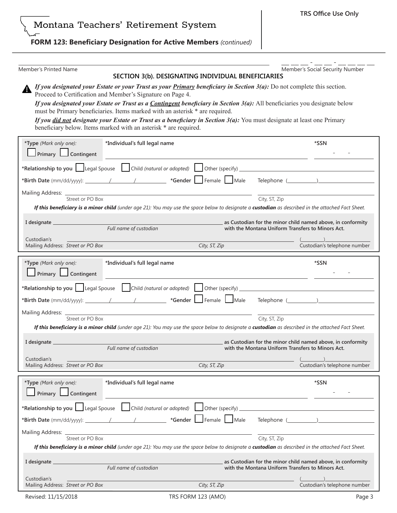**TRS Office Use Only**

# **FORM 123: Beneficiary Designation for Active Members** *(continued)*

Member's Printed Name **Member's Social Security Number** Member's Social Security Number  $\bot$   $\bot$   $\bot$  -  $\bot$   $\bot$   $\bot$   $\bot$   $\bot$ 

#### **SECTION 3(b). DESIGNATING INDIVIDUAL BENEFICIARIES**

*If you designated your Estate or your Trust as your Primary beneficiary in Section 3(a):* Do not complete this section. Proceed to Certification and Member's Signature on Page 4.

*If you designated your Estate or Trust as a Contingent beneficiary in Section 3(a):* All beneficiaries you designate below must be Primary beneficiaries. Items marked with an asterisk \* are required.

*If you did not designate your Estate or Trust as a beneficiary in Section 3(a):* You must designate at least one Primary beneficiary below. Items marked with an asterisk \* are required.

| *Type (Mark only one):<br>$\Box$ Primary $\Box$ Contingent | *Individual's full legal name | *SSN          |                                                                                                                                                                     |
|------------------------------------------------------------|-------------------------------|---------------|---------------------------------------------------------------------------------------------------------------------------------------------------------------------|
|                                                            |                               |               | *Relationship to you Legal Spouse Child (natural or adopted) Other (specify)                                                                                        |
|                                                            |                               |               |                                                                                                                                                                     |
| Mailing Address: _____________<br>Street or PO Box         |                               |               | City, ST, Zip                                                                                                                                                       |
|                                                            |                               |               | If this beneficiary is a minor child (under age 21): You may use the space below to designate a custodian as described in the attached Fact Sheet.                  |
|                                                            | Full name of custodian        |               | as Custodian for the minor child named above, in conformity<br>with the Montana Uniform Transfers to Minors Act.                                                    |
| Custodian's                                                |                               |               |                                                                                                                                                                     |
| Mailing Address: Street or PO Box                          |                               | City, ST, Zip | Custodian's telephone number                                                                                                                                        |
| *Type (Mark only one):<br>Primary Contingent               | *Individual's full legal name |               | *SSN                                                                                                                                                                |
|                                                            |                               |               | *Relationship to you   Legal Spouse   Child (natural or adopted)   Other (specify)                                                                                  |
|                                                            |                               |               |                                                                                                                                                                     |
| Mailing Address: ____________<br>Street or PO Box          |                               |               |                                                                                                                                                                     |
|                                                            |                               |               | City, ST, Zip<br>If this beneficiary is a minor child (under age 21): You may use the space below to designate a custodian as described in the attached Fact Sheet. |
|                                                            | Full name of custodian        |               | as Custodian for the minor child named above, in conformity<br>with the Montana Uniform Transfers to Minors Act.                                                    |
| Custodian's                                                |                               |               |                                                                                                                                                                     |
| Mailing Address: Street or PO Box                          |                               | City, ST, Zip | Custodian's telephone number                                                                                                                                        |
| *Type (Mark only one):<br>Primary Contingent               | *Individual's full legal name |               | *SSN                                                                                                                                                                |
|                                                            |                               |               |                                                                                                                                                                     |
|                                                            |                               |               | *Relationship to you Legal Spouse Child (natural or adopted) Other (specify)                                                                                        |
|                                                            |                               |               |                                                                                                                                                                     |
| Mailing Address:                                           |                               |               |                                                                                                                                                                     |
| Street or PO Box                                           |                               |               | City, ST, Zip<br>If this beneficiary is a minor child (under age 21): You may use the space below to designate a custodian as described in the attached Fact Sheet. |
| I designate                                                | Full name of custodian        |               | as Custodian for the minor child named above, in conformity<br>with the Montana Uniform Transfers to Minors Act.                                                    |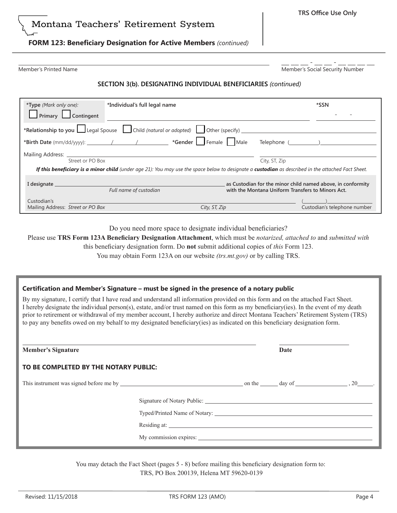# Montana Teachers' Retirement System

# **FORM 123: Beneficiary Designation for Active Members** *(continued)*

Member's Printed Name **Member's Social Security Number** Member's Social Security Number  $\bot$   $\bot$   $\bot$  -  $\bot$   $\bot$   $\bot$   $\bot$   $\bot$ 

### **SECTION 3(b). DESIGNATING INDIVIDUAL BENEFICIARIES** *(continued)*

| *Type (Mark only one):<br>Primary Contingent                                                                                                       | *Individual's full legal name                                                | *SSN                                                                                                             |  |  |  |
|----------------------------------------------------------------------------------------------------------------------------------------------------|------------------------------------------------------------------------------|------------------------------------------------------------------------------------------------------------------|--|--|--|
|                                                                                                                                                    | *Relationship to you Legal Spouse Schild (natural or adopted) Cher (specify) |                                                                                                                  |  |  |  |
|                                                                                                                                                    |                                                                              |                                                                                                                  |  |  |  |
| Street or PO Box                                                                                                                                   |                                                                              | City, ST, Zip                                                                                                    |  |  |  |
| If this beneficiary is a minor child (under age 21): You may use the space below to designate a custodian as described in the attached Fact Sheet. |                                                                              |                                                                                                                  |  |  |  |
| I designate                                                                                                                                        | Full name of custodian                                                       | as Custodian for the minor child named above, in conformity<br>with the Montana Uniform Transfers to Minors Act. |  |  |  |
| Custodian's<br>Mailing Address: Street or PO Box                                                                                                   | City, ST, Zip                                                                | Custodian's telephone number                                                                                     |  |  |  |

Do you need more space to designate individual beneficiaries?

Please use **TRS Form 123A Beneficiary Designation Attachment**, which must be *notarized, attached to* and *submitted with* 

this beneficiary designation form. Do **not** submit additional copies of *this* Form 123.

You may obtain Form 123A on our website *(trs.mt.gov)* or by calling TRS.

#### **Certification and Member's Signature – must be signed in the presence of a notary public**

By my signature, I certify that I have read and understand all information provided on this form and on the attached Fact Sheet. I hereby designate the individual person(s), estate, and/or trust named on this form as my beneficiary(ies). In the event of my death prior to retirement or withdrawal of my member account, I hereby authorize and direct Montana Teachers' Retirement System (TRS) to pay any benefits owed on my behalf to my designated beneficiary(ies) as indicated on this beneficiary designation form.

| <b>Member's Signature</b>             |  | Date |  |
|---------------------------------------|--|------|--|
| TO BE COMPLETED BY THE NOTARY PUBLIC: |  |      |  |
|                                       |  |      |  |
|                                       |  |      |  |
|                                       |  |      |  |
|                                       |  |      |  |
|                                       |  |      |  |

You may detach the Fact Sheet (pages 5 - 8) before mailing this beneficiary designation form to: TRS, PO Box 200139, Helena MT 59620-0139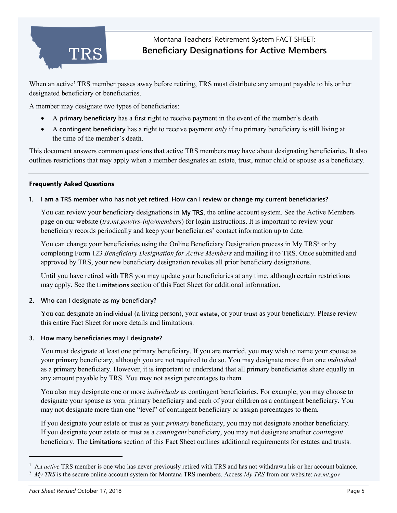

When an active**[1](#page-4-0)** TRS member passes away before retiring, TRS must distribute any amount payable to his or her designated beneficiary or beneficiaries.

A member may designate two types of beneficiaries:

- A **primary beneficiary** has a first right to receive payment in the event of the member's death.
- A **contingent beneficiary** has a right to receive payment *only* if no primary beneficiary is still living at the time of the member's death.

This document answers common questions that active TRS members may have about designating beneficiaries. It also outlines restrictions that may apply when a member designates an estate, trust, minor child or spouse as a beneficiary.

# **Frequently Asked Questions**

# **1. I am a TRS member who has not yet retired. How can I review or change my current beneficiaries?**

You can review your beneficiary designations in **My TRS**, the online account system. See the Active Members page on our website (*trs.mt.gov/trs-info/members*) for login instructions. It is important to review your beneficiary records periodically and keep your beneficiaries' contact information up to date.

You can change your beneficiaries using the Online Beneficiary Designation process in My TRS<sup>[2](#page-4-1)</sup> or by completing Form 123 *Beneficiary Designation for Active Members* and mailing it to TRS. Once submitted and approved by TRS, your new beneficiary designation revokes all prior beneficiary designations.

Until you have retired with TRS you may update your beneficiaries at any time, although certain restrictions may apply. See the **Limitations** section of this Fact Sheet for additional information.

### **2. Who can I designate as my beneficiary?**

You can designate an **individual** (a living person), your **estate**, or your **trust** as your beneficiary. Please review this entire Fact Sheet for more details and limitations.

### **3. How many beneficiaries may I designate?**

You must designate at least one primary beneficiary. If you are married, you may wish to name your spouse as your primary beneficiary, although you are not required to do so. You may designate more than one *individual* as a primary beneficiary. However, it is important to understand that all primary beneficiaries share equally in any amount payable by TRS. You may not assign percentages to them.

You also may designate one or more *individuals* as contingent beneficiaries. For example, you may choose to designate your spouse as your primary beneficiary and each of your children as a contingent beneficiary. You may not designate more than one "level" of contingent beneficiary or assign percentages to them.

If you designate your estate or trust as your *primary* beneficiary, you may not designate another beneficiary. If you designate your estate or trust as a *contingent* beneficiary, you may not designate another *contingent* beneficiary. The **Limitations** section of this Fact Sheet outlines additional requirements for estates and trusts.

<span id="page-4-0"></span><sup>&</sup>lt;sup>1</sup> An *active* TRS member is one who has never previously retired with TRS and has not withdrawn his or her account balance.<br><sup>2</sup> My TRS is the secure online account system for Montana TRS members. Access My TRS from our

<span id="page-4-1"></span>*My TRS* is the secure online account system for Montana TRS members. Access *My TRS* from our website: *trs.mt.gov*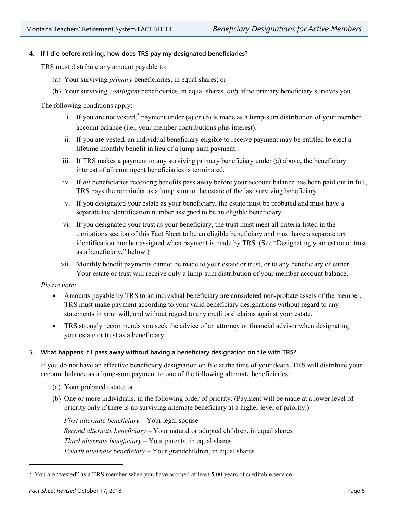# **4. If I die before retiring, how does TRS pay my designated beneficiaries?**

TRS must distribute any amount payable to:

- (a) Your surviving *primary* beneficiaries, in equal shares; or
- (b) Your surviving *contingent* beneficiaries, in equal shares, *only* if no primary beneficiary survives you.

The following conditions apply:

- i. If you are not vested,<sup>[3](#page-5-0)</sup> payment under (a) or (b) is made as a lump-sum distribution of your member account balance (i.e., your member contributions plus interest).
- ii. If you are vested, an individual beneficiary eligible to receive payment may be entitled to elect a lifetime monthly benefit in lieu of a lump-sum payment.
- iii. If TRS makes a payment to any surviving primary beneficiary under (a) above, the beneficiary interest of all contingent beneficiaries is terminated.
- iv. If *all* beneficiaries receiving benefits pass away before your account balance has been paid out in full, TRS pays the remainder as a lump sum to the estate of the last surviving beneficiary.
- v. If you designated your estate as your beneficiary, the estate must be probated and must have a separate tax identification number assigned to be an eligible beneficiary.
- vi. If you designated your trust as your beneficiary, the trust must meet all criteria listed in the Limitations section of this Fact Sheet to be an eligible beneficiary and must have a separate tax identification number assigned when payment is made by TRS. (See "Designating your estate or trust as a beneficiary," below.)
- vii. Monthly benefit payments cannot be made to your estate or trust, or to any beneficiary of either. Your estate or trust will receive only a lump-sum distribution of your member account balance.

*Please note:*

- Amounts payable by TRS to an individual beneficiary are considered non-probate assets of the member. TRS must make payment according to your valid beneficiary designations without regard to any statements in your will, and without regard to any creditors' claims against your estate.
- TRS strongly recommends you seek the advice of an attorney or financial advisor when designating your estate or trust as a beneficiary.

# **5. What happens if I pass away without having a beneficiary designation on file with TRS?**

If you do not have an effective beneficiary designation on file at the time of your death, TRS will distribute your account balance as a lump-sum payment to one of the following alternate beneficiaries:

- (a) Your probated estate; or
- (b) One or more individuals, in the following order of priority. (Payment will be made at a lower level of priority only if there is no surviving alternate beneficiary at a higher level of priority.)

*First alternate beneficiary –* Your legal spouse *Second alternate beneficiary –* Your natural or adopted children, in equal shares *Third alternate beneficiary –* Your parents, in equal shares *Fourth alternate beneficiary –* Your grandchildren, in equal shares

<span id="page-5-0"></span><sup>&</sup>lt;sup>3</sup> You are "vested" as a TRS member when you have accrued at least 5.00 years of creditable service.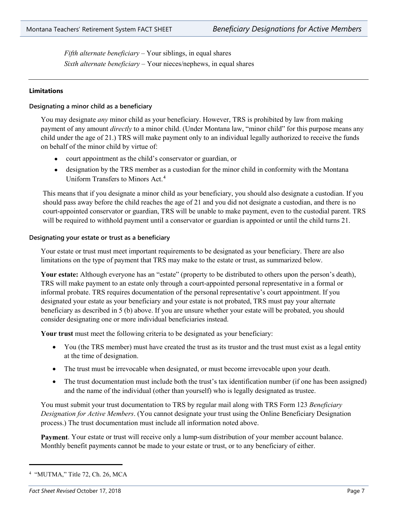*Fifth alternate beneficiary –* Your siblings, in equal shares *Sixth alternate beneficiary –* Your nieces/nephews, in equal shares

# **Limitations**

#### **Designating a minor child as a beneficiary**

You may designate *any* minor child as your beneficiary. However, TRS is prohibited by law from making payment of any amount *directly* to a minor child. (Under Montana law, "minor child" for this purpose means any child under the age of 21.) TRS will make payment only to an individual legally authorized to receive the funds on behalf of the minor child by virtue of:

- court appointment as the child's conservator or guardian, or
- designation by the TRS member as a custodian for the minor child in conformity with the Montana Uniform Transfers to Minors Act.[4](#page-6-0)

This means that if you designate a minor child as your beneficiary, you should also designate a custodian. If you should pass away before the child reaches the age of 21 and you did not designate a custodian, and there is no court-appointed conservator or guardian, TRS will be unable to make payment, even to the custodial parent. TRS will be required to withhold payment until a conservator or guardian is appointed or until the child turns 21.

#### **Designating your estate or trust as a beneficiary**

Your estate or trust must meet important requirements to be designated as your beneficiary. There are also limitations on the type of payment that TRS may make to the estate or trust, as summarized below.

**Your estate:** Although everyone has an "estate" (property to be distributed to others upon the person's death), TRS will make payment to an estate only through a court-appointed personal representative in a formal or informal probate. TRS requires documentation of the personal representative's court appointment. If you designated your estate as your beneficiary and your estate is not probated, TRS must pay your alternate beneficiary as described in 5 (b) above. If you are unsure whether your estate will be probated, you should consider designating one or more individual beneficiaries instead.

**Your trust** must meet the following criteria to be designated as your beneficiary:

- You (the TRS member) must have created the trust as its trustor and the trust must exist as a legal entity at the time of designation.
- The trust must be irrevocable when designated, or must become irrevocable upon your death.
- The trust documentation must include both the trust's tax identification number (if one has been assigned) and the name of the individual (other than yourself) who is legally designated as trustee.

You must submit your trust documentation to TRS by regular mail along with TRS Form 123 *Beneficiary Designation for Active Members*. (You cannot designate your trust using the Online Beneficiary Designation process.) The trust documentation must include all information noted above.

**Payment**. Your estate or trust will receive only a lump-sum distribution of your member account balance. Monthly benefit payments cannot be made to your estate or trust, or to any beneficiary of either.

<span id="page-6-0"></span><sup>4</sup> "MUTMA," Title 72, Ch. 26, MCA